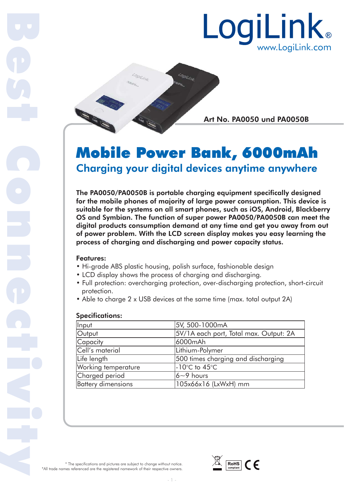



Art No. PA0050 und PA0050B Art N

# Mobile Power Bank, 6000mAh Charging your digital devices anytime anywhere

The PA0050/PA0050B is portable charging equipment specifically designed for the mobile phones of majority of large power consumption. This device is suitable for the systems on all smart phones, such as iOS, Android, Blackberry OS and Symbian. The function of super power PA0050/PA0050B can meet the digital products consumption demand at any time and get you away from out of power problem. With the LCD screen display makes you easy learning the process of charging and discharging and power capacity status.

## Features:

Best Connectivity

- Hi-grade ABS plastic housing, polish surface, fashionable design
- LCD display shows the process of charging and discharging.
- Full protection: overcharging protection, over-discharging protection, short-circuit protection.
- Able to charge 2 x USB devices at the same time (max. total output 2A)

## Specifications:

| Input                     | 5V, 500-1000mA                         |  |
|---------------------------|----------------------------------------|--|
| Output                    | 5V/1A each port, Total max. Output: 2A |  |
| Capacity                  | 6000mAh                                |  |
| Cell's material           | Lithium-Polymer                        |  |
| Life length               | 500 times charging and discharging     |  |
| Working temperature       | $-10^{\circ}$ C to $45^{\circ}$ C      |  |
| Charged period            | $6 - 9$ hours                          |  |
| <b>Battery dimensions</b> | 105x66x16 (LxWxH) mm                   |  |